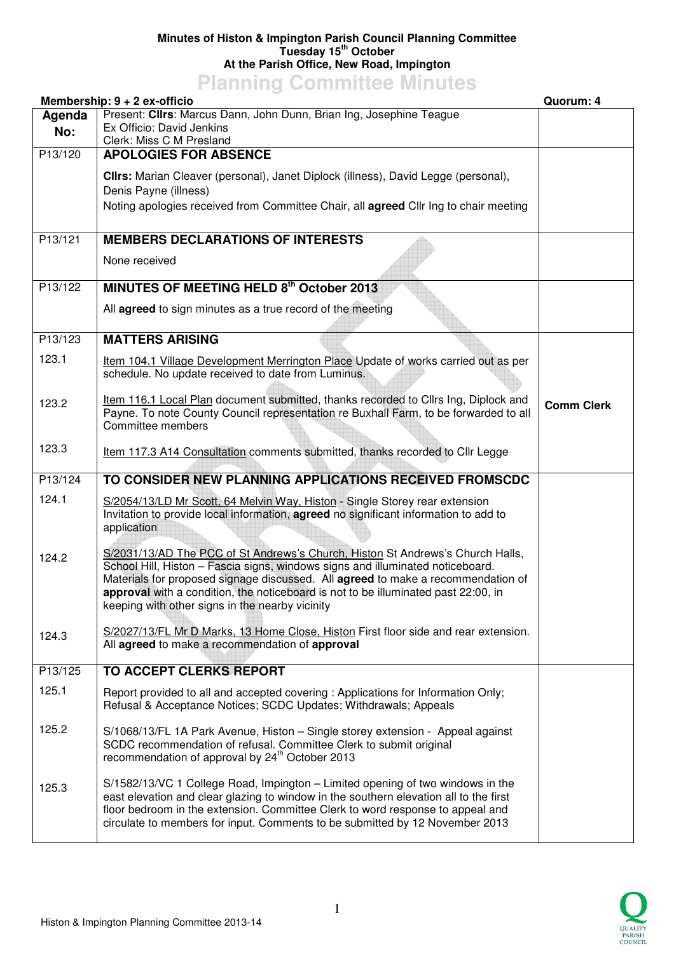## **Minutes of Histon & Impington Parish Council Planning Committee Tuesday 15th October At the Parish Office, New Road, Impington**

## **Planning Committee Minutes**

|         | Membership: 9 + 2 ex-officio                                                                                                                                                                                                                                                                                                                                                                  | Quorum: 4         |
|---------|-----------------------------------------------------------------------------------------------------------------------------------------------------------------------------------------------------------------------------------------------------------------------------------------------------------------------------------------------------------------------------------------------|-------------------|
| Agenda  | Present: Clirs: Marcus Dann, John Dunn, Brian Ing, Josephine Teague                                                                                                                                                                                                                                                                                                                           |                   |
| No:     | Ex Officio: David Jenkins<br>Clerk: Miss C M Presland                                                                                                                                                                                                                                                                                                                                         |                   |
| P13/120 | <b>APOLOGIES FOR ABSENCE</b>                                                                                                                                                                                                                                                                                                                                                                  |                   |
|         |                                                                                                                                                                                                                                                                                                                                                                                               |                   |
|         | CIIrs: Marian Cleaver (personal), Janet Diplock (illness), David Legge (personal),<br>Denis Payne (illness)                                                                                                                                                                                                                                                                                   |                   |
|         | Noting apologies received from Committee Chair, all <b>agreed</b> Cllr Ing to chair meeting                                                                                                                                                                                                                                                                                                   |                   |
|         |                                                                                                                                                                                                                                                                                                                                                                                               |                   |
| P13/121 | <b>MEMBERS DECLARATIONS OF INTERESTS</b>                                                                                                                                                                                                                                                                                                                                                      |                   |
|         | None received                                                                                                                                                                                                                                                                                                                                                                                 |                   |
| P13/122 | MINUTES OF MEETING HELD 8th October 2013                                                                                                                                                                                                                                                                                                                                                      |                   |
|         | All agreed to sign minutes as a true record of the meeting                                                                                                                                                                                                                                                                                                                                    |                   |
| P13/123 | <b>MATTERS ARISING</b>                                                                                                                                                                                                                                                                                                                                                                        |                   |
| 123.1   | Item 104.1 Village Development Merrington Place Update of works carried out as per<br>schedule. No update received to date from Luminus.                                                                                                                                                                                                                                                      |                   |
| 123.2   | Item 116.1 Local Plan document submitted, thanks recorded to Cllrs Ing, Diplock and<br>Payne. To note County Council representation re Buxhall Farm, to be forwarded to all<br>Committee members                                                                                                                                                                                              | <b>Comm Clerk</b> |
| 123.3   | Item 117.3 A14 Consultation comments submitted, thanks recorded to Cllr Legge                                                                                                                                                                                                                                                                                                                 |                   |
| P13/124 | TO CONSIDER NEW PLANNING APPLICATIONS RECEIVED FROMSCDC                                                                                                                                                                                                                                                                                                                                       |                   |
| 124.1   | S/2054/13/LD Mr Scott, 64 Melvin Way, Histon - Single Storey rear extension<br>Invitation to provide local information, agreed no significant information to add to<br>application                                                                                                                                                                                                            |                   |
| 124.2   | S/2031/13/AD The PCC of St Andrews's Church, Histon St Andrews's Church Halls,<br>School Hill, Histon - Fascia signs, windows signs and illuminated noticeboard.<br>Materials for proposed signage discussed. All agreed to make a recommendation of<br>approval with a condition, the noticeboard is not to be illuminated past 22:00, in<br>keeping with other signs in the nearby vicinity |                   |
| 124.3   | S/2027/13/FL Mr D Marks, 13 Home Close, Histon First floor side and rear extension.<br>All agreed to make a recommendation of approval                                                                                                                                                                                                                                                        |                   |
| P13/125 | <b>TO ACCEPT CLERKS REPORT</b>                                                                                                                                                                                                                                                                                                                                                                |                   |
| 125.1   | Report provided to all and accepted covering : Applications for Information Only;<br>Refusal & Acceptance Notices; SCDC Updates; Withdrawals; Appeals                                                                                                                                                                                                                                         |                   |
| 125.2   | S/1068/13/FL 1A Park Avenue, Histon - Single storey extension - Appeal against<br>SCDC recommendation of refusal. Committee Clerk to submit original<br>recommendation of approval by 24 <sup>th</sup> October 2013                                                                                                                                                                           |                   |
| 125.3   | S/1582/13/VC 1 College Road, Impington - Limited opening of two windows in the<br>east elevation and clear glazing to window in the southern elevation all to the first<br>floor bedroom in the extension. Committee Clerk to word response to appeal and<br>circulate to members for input. Comments to be submitted by 12 November 2013                                                     |                   |